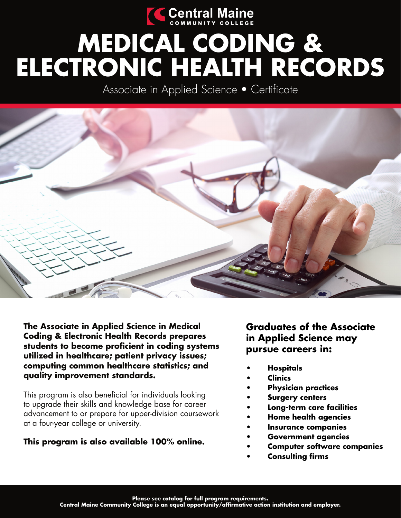

# **MEDICAL CODING & ELECTRONIC HEALTH RECORDS**

Associate in Applied Science • Certificate



**The Associate in Applied Science in Medical Coding & Electronic Health Records prepares students to become proficient in coding systems utilized in healthcare; patient privacy issues; computing common healthcare statistics; and quality improvement standards.**

This program is also beneficial for individuals looking to upgrade their skills and knowledge base for career advancement to or prepare for upper-division coursework at a four-year college or university.

## **This program is also available 100% online.**

## **Graduates of the Associate in Applied Science may pursue careers in:**

- **Hospitals**
	- **Clinics**
- **Physician practices**
- **Surgery centers**
- **Long-term care facilities**
- **Home health agencies**
- **Insurance companies**
- **Government agencies**
- **Computer software companies**
- **Consulting firms**